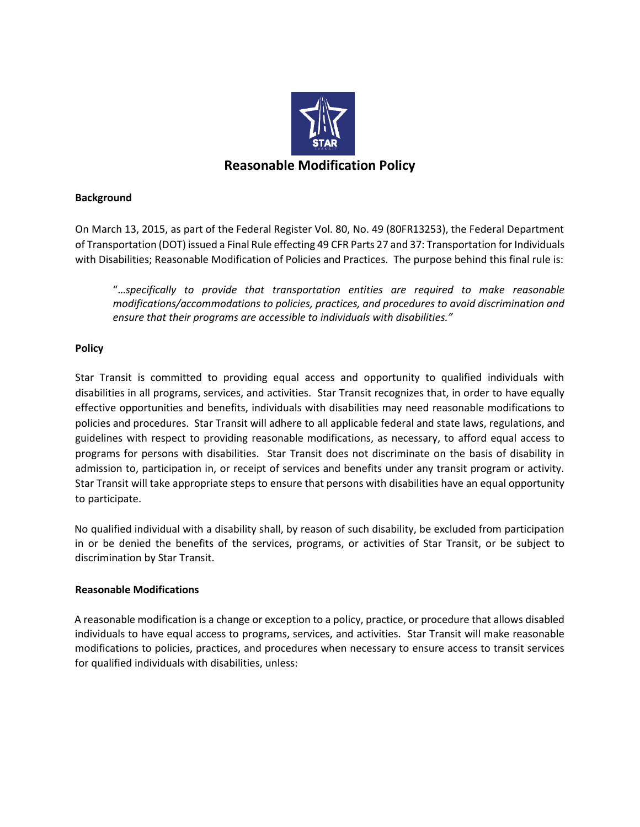

# **Background**

On March 13, 2015, as part of the Federal Register Vol. 80, No. 49 (80FR13253), the Federal Department of Transportation (DOT) issued a Final Rule effecting 49 CFR Parts 27 and 37: Transportation for Individuals with Disabilities; Reasonable Modification of Policies and Practices. The purpose behind this final rule is:

"…*specifically to provide that transportation entities are required to make reasonable modifications/accommodations to policies, practices, and procedures to avoid discrimination and ensure that their programs are accessible to individuals with disabilities."*

# **Policy**

Star Transit is committed to providing equal access and opportunity to qualified individuals with disabilities in all programs, services, and activities. Star Transit recognizes that, in order to have equally effective opportunities and benefits, individuals with disabilities may need reasonable modifications to policies and procedures. Star Transit will adhere to all applicable federal and state laws, regulations, and guidelines with respect to providing reasonable modifications, as necessary, to afford equal access to programs for persons with disabilities. Star Transit does not discriminate on the basis of disability in admission to, participation in, or receipt of services and benefits under any transit program or activity. Star Transit will take appropriate steps to ensure that persons with disabilities have an equal opportunity to participate.

No qualified individual with a disability shall, by reason of such disability, be excluded from participation in or be denied the benefits of the services, programs, or activities of Star Transit, or be subject to discrimination by Star Transit.

## **Reasonable Modifications**

A reasonable modification is a change or exception to a policy, practice, or procedure that allows disabled individuals to have equal access to programs, services, and activities. Star Transit will make reasonable modifications to policies, practices, and procedures when necessary to ensure access to transit services for qualified individuals with disabilities, unless: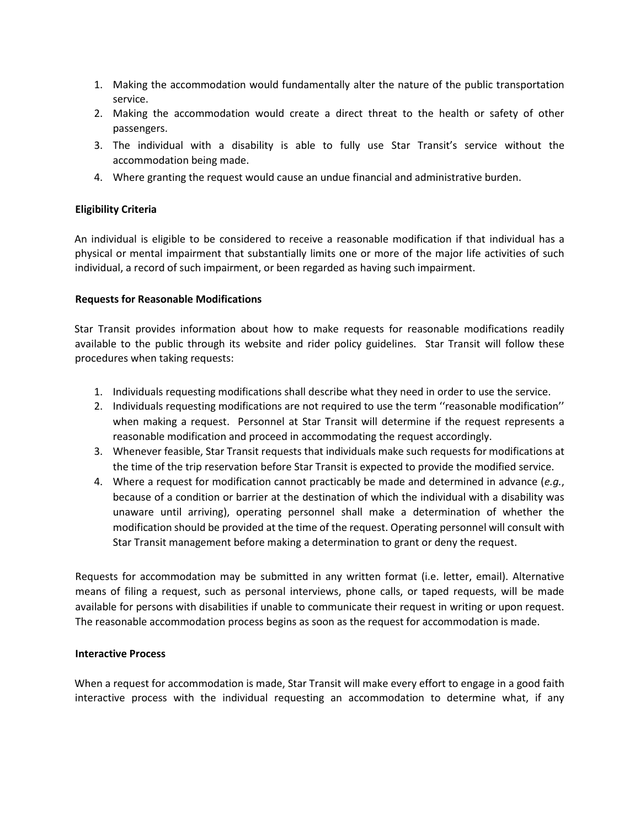- 1. Making the accommodation would fundamentally alter the nature of the public transportation service.
- 2. Making the accommodation would create a direct threat to the health or safety of other passengers.
- 3. The individual with a disability is able to fully use Star Transit's service without the accommodation being made.
- 4. Where granting the request would cause an undue financial and administrative burden.

## **Eligibility Criteria**

An individual is eligible to be considered to receive a reasonable modification if that individual has a physical or mental impairment that substantially limits one or more of the major life activities of such individual, a record of such impairment, or been regarded as having such impairment.

#### **Requests for Reasonable Modifications**

Star Transit provides information about how to make requests for reasonable modifications readily available to the public through its website and rider policy guidelines. Star Transit will follow these procedures when taking requests:

- 1. Individuals requesting modifications shall describe what they need in order to use the service.
- 2. Individuals requesting modifications are not required to use the term ''reasonable modification'' when making a request. Personnel at Star Transit will determine if the request represents a reasonable modification and proceed in accommodating the request accordingly.
- 3. Whenever feasible, Star Transit requests that individuals make such requests for modifications at the time of the trip reservation before Star Transit is expected to provide the modified service.
- 4. Where a request for modification cannot practicably be made and determined in advance (*e.g.*, because of a condition or barrier at the destination of which the individual with a disability was unaware until arriving), operating personnel shall make a determination of whether the modification should be provided at the time of the request. Operating personnel will consult with Star Transit management before making a determination to grant or deny the request.

Requests for accommodation may be submitted in any written format (i.e. letter, email). Alternative means of filing a request, such as personal interviews, phone calls, or taped requests, will be made available for persons with disabilities if unable to communicate their request in writing or upon request. The reasonable accommodation process begins as soon as the request for accommodation is made.

## **Interactive Process**

When a request for accommodation is made, Star Transit will make every effort to engage in a good faith interactive process with the individual requesting an accommodation to determine what, if any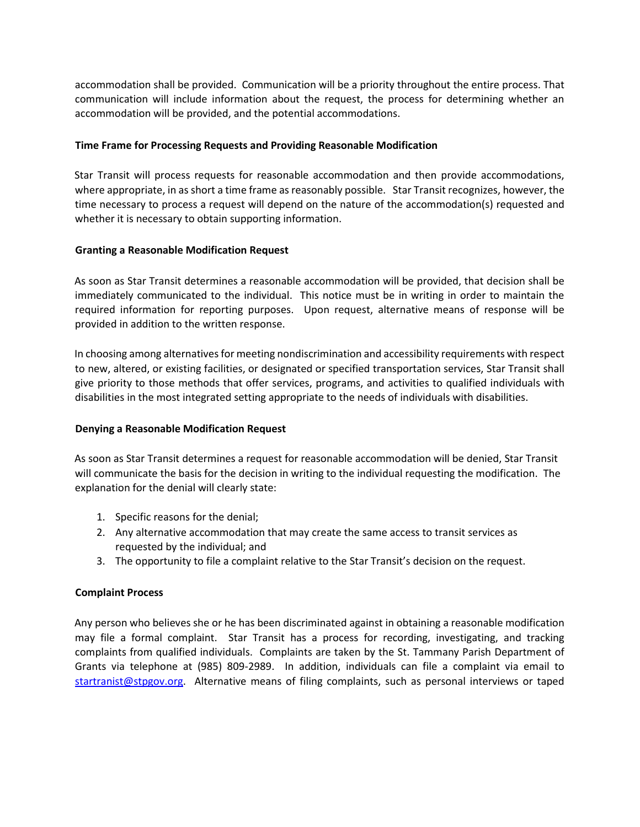accommodation shall be provided. Communication will be a priority throughout the entire process. That communication will include information about the request, the process for determining whether an accommodation will be provided, and the potential accommodations.

## **Time Frame for Processing Requests and Providing Reasonable Modification**

Star Transit will process requests for reasonable accommodation and then provide accommodations, where appropriate, in as short a time frame as reasonably possible. Star Transit recognizes, however, the time necessary to process a request will depend on the nature of the accommodation(s) requested and whether it is necessary to obtain supporting information.

## **Granting a Reasonable Modification Request**

As soon as Star Transit determines a reasonable accommodation will be provided, that decision shall be immediately communicated to the individual. This notice must be in writing in order to maintain the required information for reporting purposes. Upon request, alternative means of response will be provided in addition to the written response.

In choosing among alternatives for meeting nondiscrimination and accessibility requirements with respect to new, altered, or existing facilities, or designated or specified transportation services, Star Transit shall give priority to those methods that offer services, programs, and activities to qualified individuals with disabilities in the most integrated setting appropriate to the needs of individuals with disabilities.

## **Denying a Reasonable Modification Request**

As soon as Star Transit determines a request for reasonable accommodation will be denied, Star Transit will communicate the basis for the decision in writing to the individual requesting the modification. The explanation for the denial will clearly state:

- 1. Specific reasons for the denial;
- 2. Any alternative accommodation that may create the same access to transit services as requested by the individual; and
- 3. The opportunity to file a complaint relative to the Star Transit's decision on the request.

## **Complaint Process**

Any person who believes she or he has been discriminated against in obtaining a reasonable modification may file a formal complaint. Star Transit has a process for recording, investigating, and tracking complaints from qualified individuals. Complaints are taken by the St. Tammany Parish Department of Grants via telephone at (985) 809-2989. In addition, individuals can file a complaint via email to startranist@stpgov.org. Alternative means of filing complaints, such as personal interviews or taped